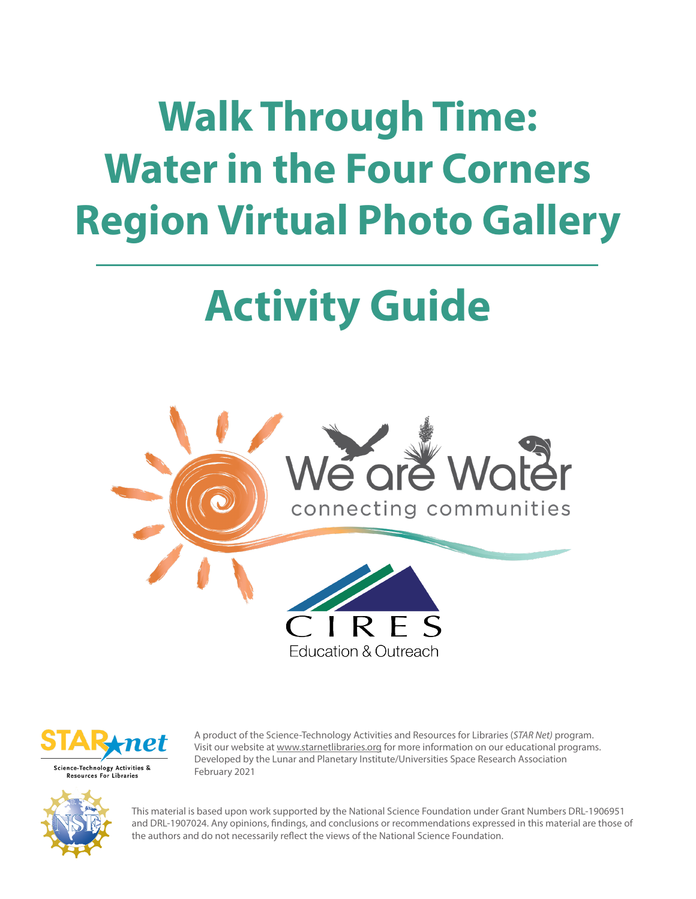# **Walk Through Time: Water in the Four Corners Region Virtual Photo Gallery**

# **Activity Guide**



Education & Outreach



Resources For Libraries

A product of the Science-Technology Activities and Resources for Libraries (*STAR Net)* program. Visit our website at www.starnetlibraries.org for more information on our educational programs. Developed by the Lunar and Planetary Institute/Universities Space Research Association February 2021



This material is based upon work supported by the National Science Foundation under Grant Numbers DRL-1906951 and DRL-1907024. Any opinions, findings, and conclusions or recommendations expressed in this material are those of the authors and do not necessarily reflect the views of the National Science Foundation.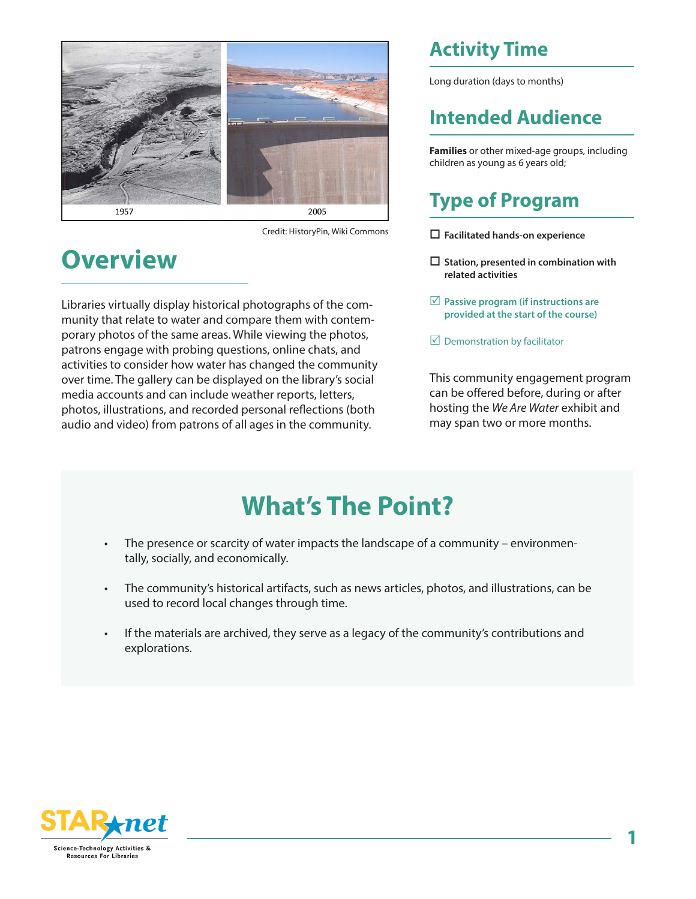

Credit: HistoryPin, Wiki Commons

## **Overview**

Libraries virtually display historical photographs of the community that relate to water and compare them with contemporary photos of the same areas. While viewing the photos, patrons engage with probing questions, online chats, and activities to consider how water has changed the community over time. The gallery can be displayed on the library's social media accounts and can include weather reports, letters, photos, illustrations, and recorded personal reflections (both audio and video) from patrons of all ages in the community.

## **Activity Time**

Long duration (days to months)

#### **Intended Audience**

**Families** or other mixed-age groups, including children as young as 6 years old;

## **Type of Program**

o **Facilitated hands-on experience** 

- □ Station, presented in combination with **related activities**
- $✓$  **Passive program (if instructions are provided at the start of the course)**

 $\boxtimes$  Demonstration by facilitator

This community engagement program can be offered before, during or after hosting the *We Are Water* exhibit and may span two or more months.

# **What's The Point?**

- The presence or scarcity of water impacts the landscape of a community environmentally, socially, and economically.
- The community's historical artifacts, such as news articles, photos, and illustrations, can be used to record local changes through time.
- If the materials are archived, they serve as a legacy of the community's contributions and explorations.

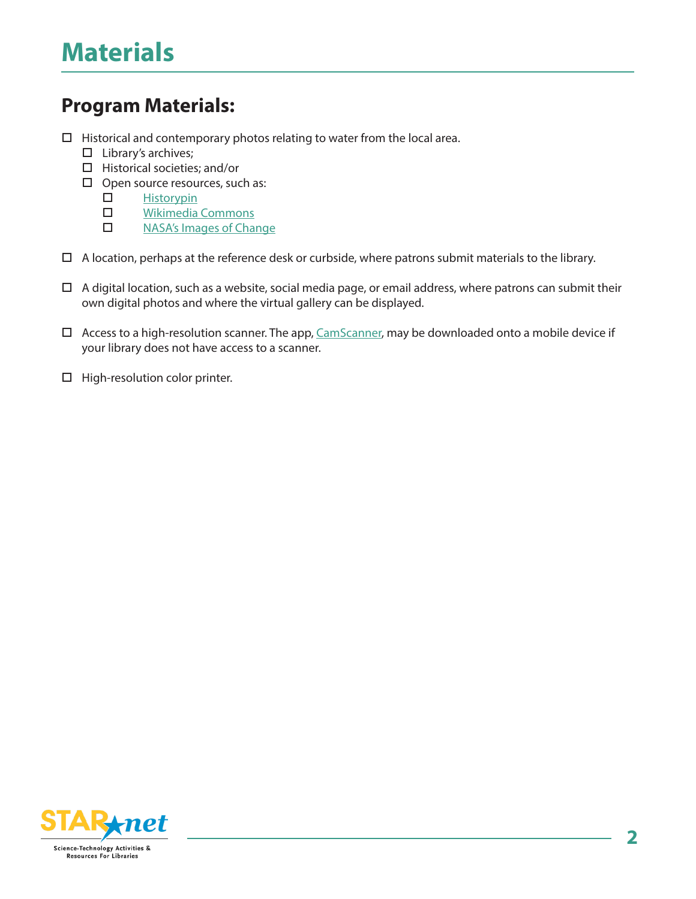#### **Program Materials:**

- $\Box$  Historical and contemporary photos relating to water from the local area.
	- $\square$  Library's archives;
	- $\Box$  Historical societies; and/or
	- $\Box$  Open source resources, such as:
		- $\square$  Historypin
		- $\square$  Wikimedia Commons
		- D NASA's Images of Change
- $\Box$  A location, perhaps at the reference desk or curbside, where patrons submit materials to the library.
- $\Box$  A digital location, such as a website, social media page, or email address, where patrons can submit their own digital photos and where the virtual gallery can be displayed.
- $\Box$  Access to a high-resolution scanner. The app, CamScanner, may be downloaded onto a mobile device if your library does not have access to a scanner.
- $\Box$  High-resolution color printer.

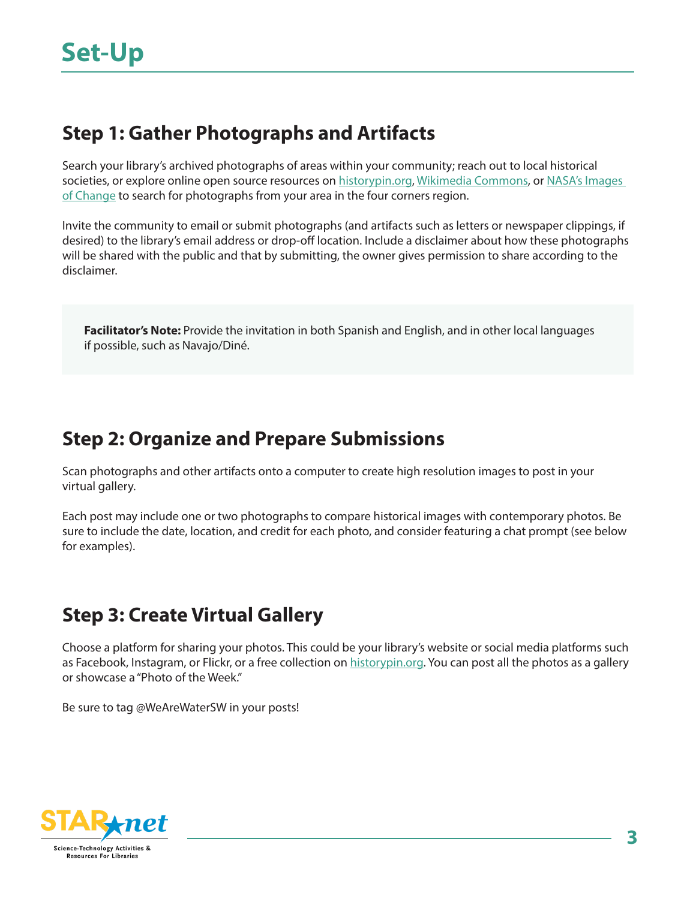#### **Step 1: Gather Photographs and Artifacts**

Search your library's archived photographs of areas within your community; reach out to local historical societies, or explore online open source resources on historypin.org, Wikimedia Commons, or NASA's Images of Change to search for photographs from your area in the four corners region.

Invite the community to email or submit photographs (and artifacts such as letters or newspaper clippings, if desired) to the library's email address or drop-off location. Include a disclaimer about how these photographs will be shared with the public and that by submitting, the owner gives permission to share according to the disclaimer.

**Facilitator's Note:** Provide the invitation in both Spanish and English, and in other local languages if possible, such as Navajo/Diné.

#### **Step 2: Organize and Prepare Submissions**

Scan photographs and other artifacts onto a computer to create high resolution images to post in your virtual gallery.

Each post may include one or two photographs to compare historical images with contemporary photos. Be sure to include the date, location, and credit for each photo, and consider featuring a chat prompt (see below for examples).

## **Step 3: Create Virtual Gallery**

Choose a platform for sharing your photos. This could be your library's website or social media platforms such as Facebook, Instagram, or Flickr, or a free collection on historypin.org. You can post all the photos as a gallery or showcase a "Photo of the Week."

Be sure to tag @WeAreWaterSW in your posts!